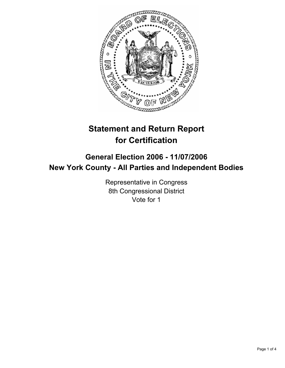

# **Statement and Return Report for Certification**

# **General Election 2006 - 11/07/2006 New York County - All Parties and Independent Bodies**

Representative in Congress 8th Congressional District Vote for 1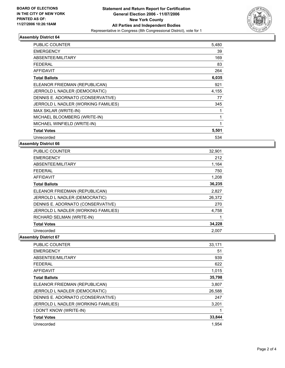

## **Assembly District 64**

| PUBLIC COUNTER                      | 5,480 |
|-------------------------------------|-------|
| <b>EMERGENCY</b>                    | 39    |
| ABSENTEE/MILITARY                   | 169   |
| <b>FEDERAL</b>                      | 83    |
| <b>AFFIDAVIT</b>                    | 264   |
| <b>Total Ballots</b>                | 6,035 |
| ELEANOR FRIEDMAN (REPUBLICAN)       | 921   |
| JERROLD L NADLER (DEMOCRATIC)       | 4,155 |
| DENNIS E. ADORNATO (CONSERVATIVE)   | 77    |
| JERROLD L NADLER (WORKING FAMILIES) | 345   |
| MAX SKLAR (WRITE-IN)                |       |
| MICHAEL BLOOMBERG (WRITE-IN)        |       |
| MICHAEL WINFIELD (WRITE-IN)         |       |
| <b>Total Votes</b>                  | 5,501 |
| Unrecorded                          | 534   |

#### **Assembly District 66**

| <b>PUBLIC COUNTER</b>               | 32,901 |
|-------------------------------------|--------|
| <b>EMERGENCY</b>                    | 212    |
| ABSENTEE/MILITARY                   | 1,164  |
| <b>FEDERAL</b>                      | 750    |
| <b>AFFIDAVIT</b>                    | 1,208  |
| <b>Total Ballots</b>                | 36,235 |
| ELEANOR FRIEDMAN (REPUBLICAN)       | 2,827  |
| JERROLD L NADLER (DEMOCRATIC)       | 26,372 |
| DENNIS E. ADORNATO (CONSERVATIVE)   | 270    |
| JERROLD L NADLER (WORKING FAMILIES) | 4,758  |
| RICHARD SELMAN (WRITE-IN)           |        |
| <b>Total Votes</b>                  | 34,228 |
| Unrecorded                          | 2,007  |

**Assembly District 67**

| <b>PUBLIC COUNTER</b>               | 33,171 |
|-------------------------------------|--------|
| <b>EMERGENCY</b>                    | 51     |
| ABSENTEE/MILITARY                   | 939    |
| <b>FEDERAL</b>                      | 622    |
| <b>AFFIDAVIT</b>                    | 1,015  |
| <b>Total Ballots</b>                | 35,798 |
| ELEANOR FRIEDMAN (REPUBLICAN)       | 3,807  |
| JERROLD L NADLER (DEMOCRATIC)       | 26,588 |
| DENNIS E. ADORNATO (CONSERVATIVE)   | 247    |
| JERROLD L NADLER (WORKING FAMILIES) | 3,201  |
| I DON'T KNOW (WRITE-IN)             |        |
| <b>Total Votes</b>                  | 33,844 |
| Unrecorded                          | 1.954  |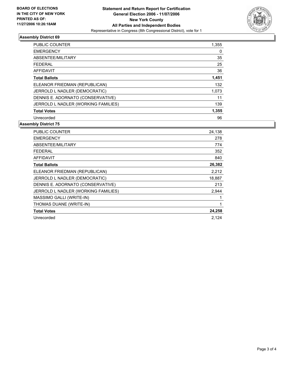

## **Assembly District 69**

| PUBLIC COUNTER                      | 1,355 |
|-------------------------------------|-------|
| <b>EMERGENCY</b>                    | 0     |
| ABSENTEE/MILITARY                   | 35    |
| <b>FEDERAL</b>                      | 25    |
| AFFIDAVIT                           | 36    |
| <b>Total Ballots</b>                | 1,451 |
| ELEANOR FRIEDMAN (REPUBLICAN)       | 132   |
| JERROLD L NADLER (DEMOCRATIC)       | 1,073 |
| DENNIS E. ADORNATO (CONSERVATIVE)   | 11    |
| JERROLD L NADLER (WORKING FAMILIES) | 139   |
| <b>Total Votes</b>                  | 1,355 |
| Unrecorded                          | 96    |

#### **Assembly District 75**

| <b>PUBLIC COUNTER</b>               | 24,138 |
|-------------------------------------|--------|
| <b>EMERGENCY</b>                    | 278    |
| ABSENTEE/MILITARY                   | 774    |
| <b>FEDERAL</b>                      | 352    |
| <b>AFFIDAVIT</b>                    | 840    |
| <b>Total Ballots</b>                | 26,382 |
| ELEANOR FRIEDMAN (REPUBLICAN)       | 2,212  |
| JERROLD L NADLER (DEMOCRATIC)       | 18,887 |
| DENNIS E. ADORNATO (CONSERVATIVE)   | 213    |
| JERROLD L NADLER (WORKING FAMILIES) | 2,944  |
| MASSIMO GALLI (WRITE-IN)            |        |
| THOMAS DUANE (WRITE-IN)             |        |
| <b>Total Votes</b>                  | 24,258 |
| Unrecorded                          | 2,124  |